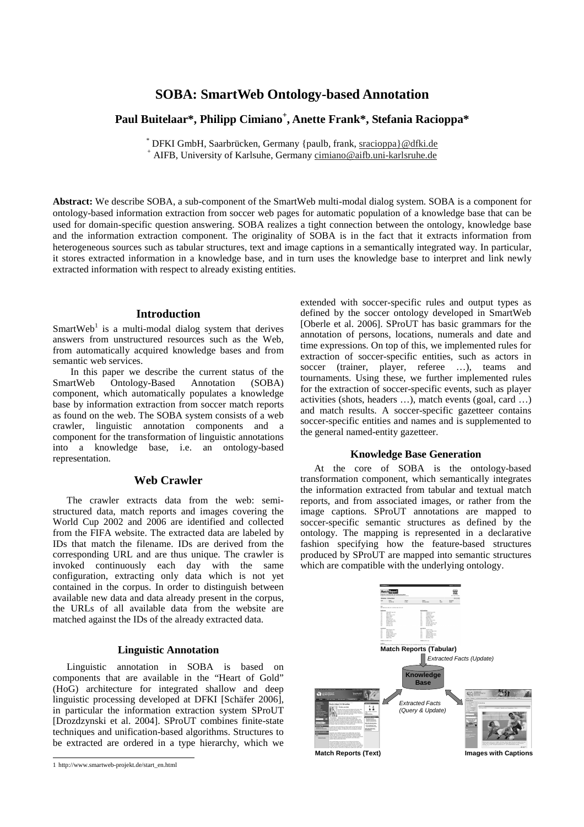# **SOBA: SmartWeb Ontology-based Annotation**

# **Paul Buitelaar\*, Philipp Cimiano + , Anette Frank\*, Stefania Racioppa\***

\* DFKI GmbH, Saarbrücken, Germany {paulb, frank, sracioppa}@dfki.de <sup>+</sup> AIFB, University of Karlsuhe, Germany cimiano@aifb.uni-karlsruhe.de

**Abstract:** We describe SOBA, a sub-component of the SmartWeb multi-modal dialog system. SOBA is a component for ontology-based information extraction from soccer web pages for automatic population of a knowledge base that can be used for domain-specific question answering. SOBA realizes a tight connection between the ontology, knowledge base and the information extraction component. The originality of SOBA is in the fact that it extracts information from heterogeneous sources such as tabular structures, text and image captions in a semantically integrated way. In particular, it stores extracted information in a knowledge base, and in turn uses the knowledge base to interpret and link newly extracted information with respect to already existing entities.

### **Introduction**

SmartWeb<sup>1</sup> is a multi-modal dialog system that derives answers from unstructured resources such as the Web, from automatically acquired knowledge bases and from semantic web services.

In this paper we describe the current status of the SmartWeb Ontology-Based Annotation (SOBA) component, which automatically populates a knowledge base by information extraction from soccer match reports as found on the web. The SOBA system consists of a web crawler, linguistic annotation components and a component for the transformation of linguistic annotations into a knowledge base, i.e. an ontology-based representation.

## **Web Crawler**

The crawler extracts data from the web: semistructured data, match reports and images covering the World Cup 2002 and 2006 are identified and collected from the FIFA website. The extracted data are labeled by IDs that match the filename. IDs are derived from the corresponding URL and are thus unique. The crawler is invoked continuously each day with the same configuration, extracting only data which is not yet contained in the corpus. In order to distinguish between available new data and data already present in the corpus, the URLs of all available data from the website are matched against the IDs of the already extracted data.

### **Linguistic Annotation**

Linguistic annotation in SOBA is based on components that are available in the "Heart of Gold" (HoG) architecture for integrated shallow and deep linguistic processing developed at DFKI [Schäfer 2006], in particular the information extraction system SProUT [Drozdzynski et al. 2004]. SProUT combines finite-state techniques and unification-based algorithms. Structures to be extracted are ordered in a type hierarchy, which we extended with soccer-specific rules and output types as defined by the soccer ontology developed in SmartWeb [Oberle et al. 2006]. SProUT has basic grammars for the annotation of persons, locations, numerals and date and time expressions. On top of this, we implemented rules for extraction of soccer-specific entities, such as actors in soccer (trainer, player, referee ...), teams and tournaments. Using these, we further implemented rules for the extraction of soccer-specific events, such as player activities (shots, headers …), match events (goal, card …) and match results. A soccer-specific gazetteer contains soccer-specific entities and names and is supplemented to the general named-entity gazetteer.

#### **Knowledge Base Generation**

At the core of SOBA is the ontology-based transformation component, which semantically integrates the information extracted from tabular and textual match reports, and from associated images, or rather from the image captions. SProUT annotations are mapped to soccer-specific semantic structures as defined by the ontology. The mapping is represented in a declarative fashion specifying how the feature-based structures produced by SProUT are mapped into semantic structures which are compatible with the underlying ontology.



<sup>1</sup> http://www.smartweb-projekt.de/start\_en.html